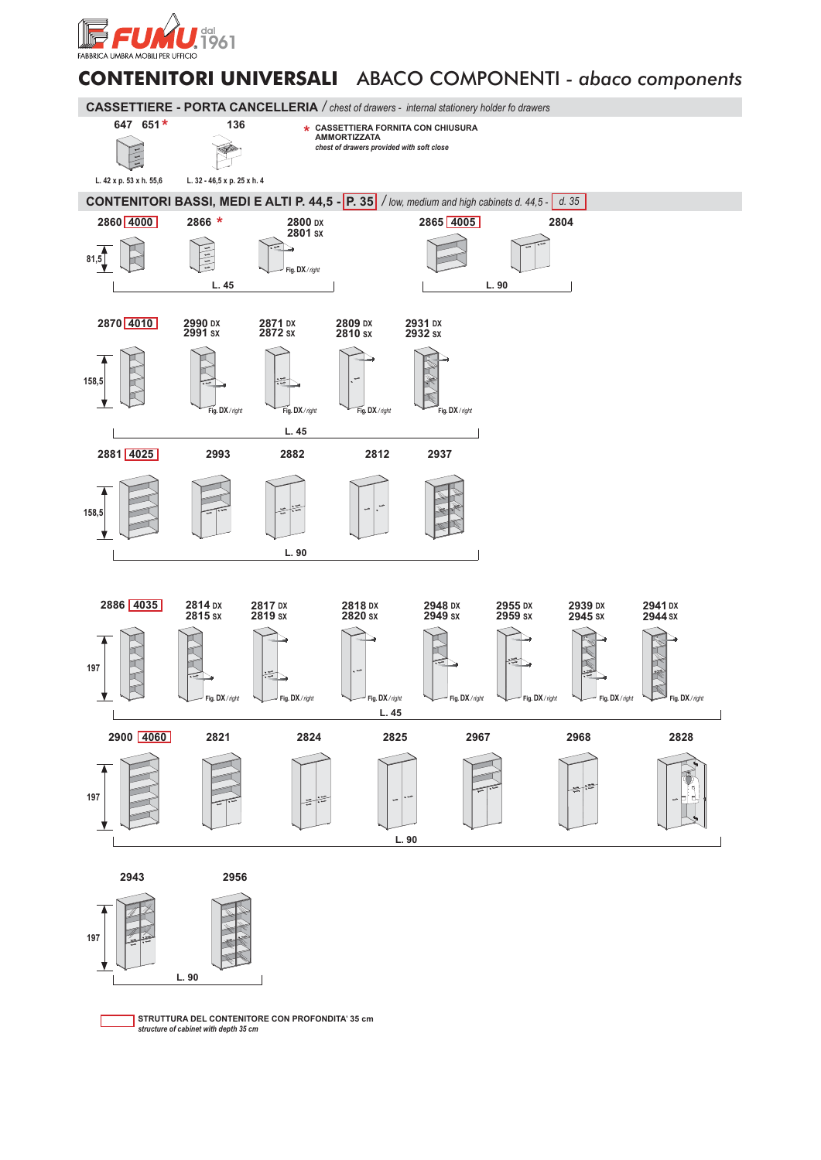

## **CONTENITORI UNIVERSALI** ABACO COMPONENTI *- abaco components*



**STRUTTURA DEL CONTENITORE CON PROFONDITA**' **35 cm** *structure of cabinet with depth 35 cm*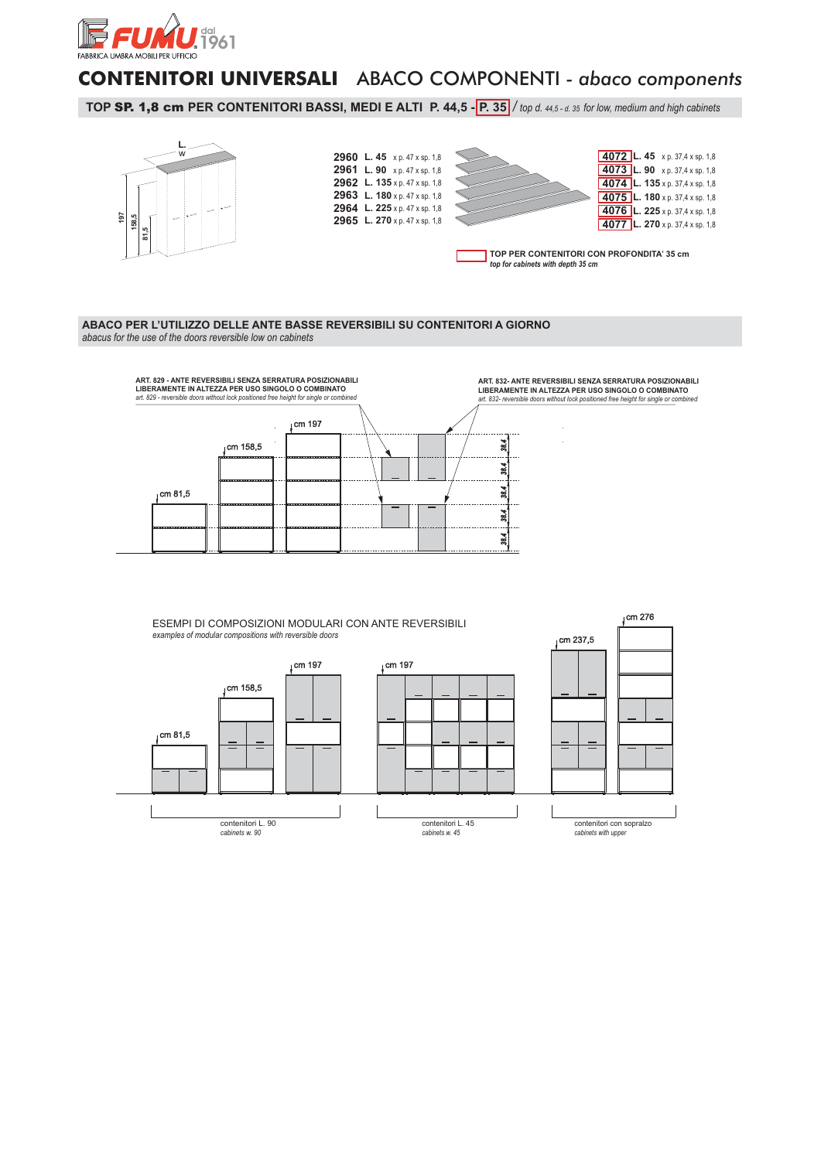

## **CONTENITORI UNIVERSALI** ABACO COMPONENTI *- abaco components*

**TOP SP. 1,8 cm PER CONTENITORI BASSI, MEDI E ALTI P. 44,5 - <b>P. 35** / top d. 44,5 - d. 35 for low, medium and high cabinets



## **ABACO PER L'UTILIZZO DELLE ANTE BASSE REVERSIBILI SU CONTENITORI A GIORNO**  *abacus for the use of the doors reversible low on cabinets*